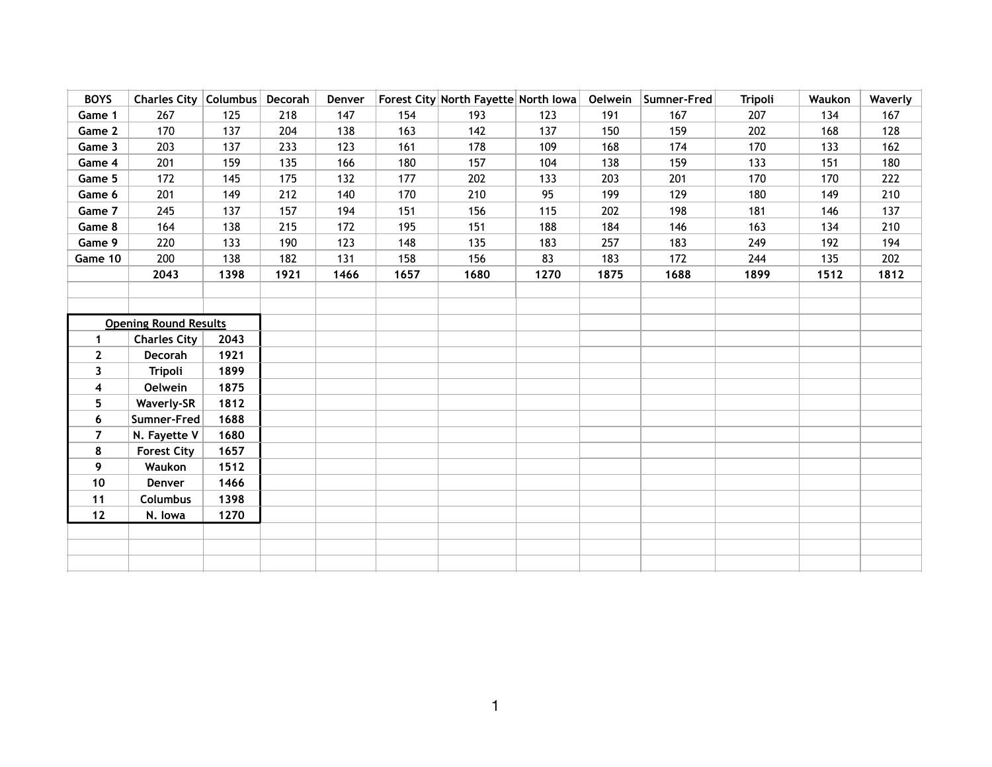| <b>BOYS</b>                  | Charles City   Columbus   Decorah |      |      | Denver |      | Forest City North Fayette North Iowa |      |      | Oelwein Sumner-Fred | <b>Tripoli</b> | Waukon | Waverly |
|------------------------------|-----------------------------------|------|------|--------|------|--------------------------------------|------|------|---------------------|----------------|--------|---------|
| Game 1                       | 267                               | 125  | 218  | 147    | 154  | 193                                  | 123  | 191  | 167                 | 207            | 134    | 167     |
| Game 2                       | 170                               | 137  | 204  | 138    | 163  | 142                                  | 137  | 150  | 159                 | 202            | 168    | 128     |
| Game 3                       | 203                               | 137  | 233  | 123    | 161  | 178                                  | 109  | 168  | 174                 | 170            | 133    | 162     |
| Game 4                       | 201                               | 159  | 135  | 166    | 180  | 157                                  | 104  | 138  | 159                 | 133            | 151    | 180     |
| Game 5                       | 172                               | 145  | 175  | 132    | 177  | 202                                  | 133  | 203  | 201                 | 170            | 170    | 222     |
| Game 6                       | 201                               | 149  | 212  | 140    | 170  | 210                                  | 95   | 199  | 129                 | 180            | 149    | 210     |
| Game 7                       | 245                               | 137  | 157  | 194    | 151  | 156                                  | 115  | 202  | 198                 | 181            | 146    | 137     |
| Game 8                       | 164                               | 138  | 215  | 172    | 195  | 151                                  | 188  | 184  | 146                 | 163            | 134    | 210     |
| Game 9                       | 220                               | 133  | 190  | 123    | 148  | 135                                  | 183  | 257  | 183                 | 249            | 192    | 194     |
| Game 10                      | 200                               | 138  | 182  | 131    | 158  | 156                                  | 83   | 183  | 172                 | 244            | 135    | 202     |
|                              | 2043                              | 1398 | 1921 | 1466   | 1657 | 1680                                 | 1270 | 1875 | 1688                | 1899           | 1512   | 1812    |
|                              |                                   |      |      |        |      |                                      |      |      |                     |                |        |         |
|                              |                                   |      |      |        |      |                                      |      |      |                     |                |        |         |
| <b>Opening Round Results</b> |                                   |      |      |        |      |                                      |      |      |                     |                |        |         |
| $\mathbf{1}$                 | <b>Charles City</b>               | 2043 |      |        |      |                                      |      |      |                     |                |        |         |
| $\mathbf{2}$                 | Decorah                           | 1921 |      |        |      |                                      |      |      |                     |                |        |         |
| 3                            | <b>Tripoli</b>                    | 1899 |      |        |      |                                      |      |      |                     |                |        |         |
| 4                            | <b>Oelwein</b>                    | 1875 |      |        |      |                                      |      |      |                     |                |        |         |
| 5                            | <b>Waverly-SR</b>                 | 1812 |      |        |      |                                      |      |      |                     |                |        |         |
| 6                            | Sumner-Fred                       | 1688 |      |        |      |                                      |      |      |                     |                |        |         |
| $\overline{7}$               | N. Fayette V                      | 1680 |      |        |      |                                      |      |      |                     |                |        |         |
| 8                            | <b>Forest City</b>                | 1657 |      |        |      |                                      |      |      |                     |                |        |         |
| 9                            | Waukon                            | 1512 |      |        |      |                                      |      |      |                     |                |        |         |
| 10                           | Denver                            | 1466 |      |        |      |                                      |      |      |                     |                |        |         |
| $11$                         | <b>Columbus</b>                   | 1398 |      |        |      |                                      |      |      |                     |                |        |         |
| $12$                         | N. Iowa                           | 1270 |      |        |      |                                      |      |      |                     |                |        |         |
|                              |                                   |      |      |        |      |                                      |      |      |                     |                |        |         |
|                              |                                   |      |      |        |      |                                      |      |      |                     |                |        |         |
|                              |                                   |      |      |        |      |                                      |      |      |                     |                |        |         |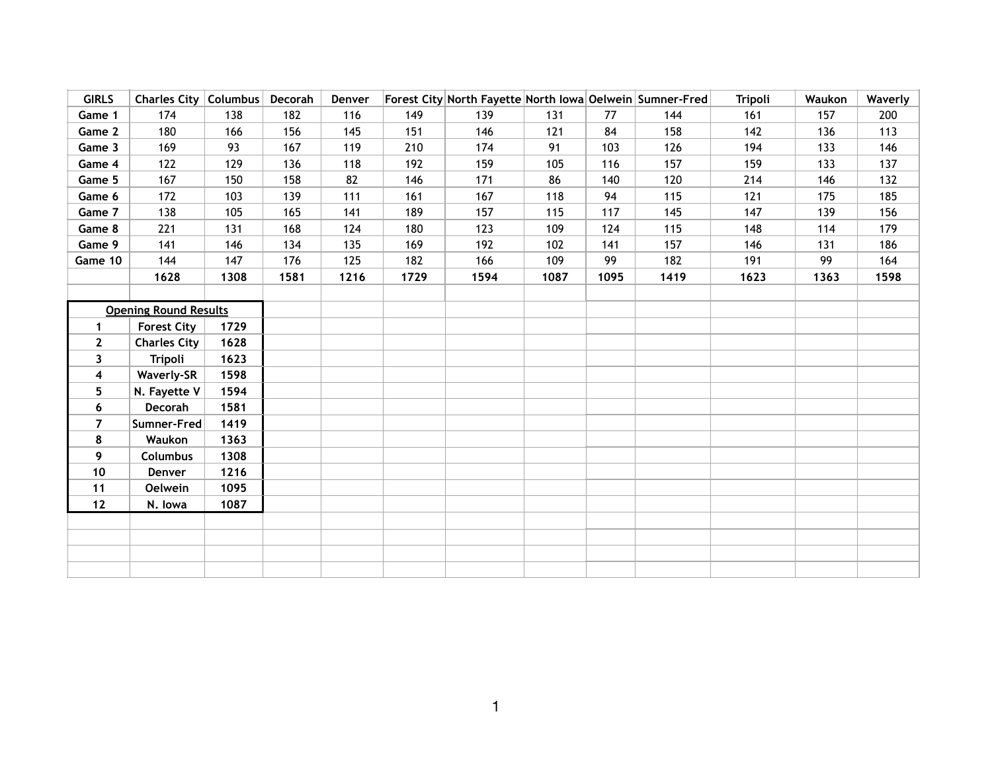| <b>GIRLS</b>                 | Charles City   Columbus |      | Decorah | Denver |      | Forest City North Fayette North Iowa Oelwein Sumner-Fred |      |      |      | <b>Tripoli</b> | Waukon | Waverly |
|------------------------------|-------------------------|------|---------|--------|------|----------------------------------------------------------|------|------|------|----------------|--------|---------|
| Game 1                       | 174                     | 138  | 182     | 116    | 149  | 139                                                      | 131  | 77   | 144  | 161            | 157    | 200     |
| Game 2                       | 180                     | 166  | 156     | 145    | 151  | 146                                                      | 121  | 84   | 158  | 142            | 136    | 113     |
| Game 3                       | 169                     | 93   | 167     | 119    | 210  | 174                                                      | 91   | 103  | 126  | 194            | 133    | 146     |
| Game 4                       | 122                     | 129  | 136     | 118    | 192  | 159                                                      | 105  | 116  | 157  | 159            | 133    | 137     |
| Game 5                       | 167                     | 150  | 158     | 82     | 146  | 171                                                      | 86   | 140  | 120  | 214            | 146    | 132     |
| Game 6                       | 172                     | 103  | 139     | 111    | 161  | 167                                                      | 118  | 94   | 115  | 121            | 175    | 185     |
| Game 7                       | 138                     | 105  | 165     | 141    | 189  | 157                                                      | 115  | 117  | 145  | 147            | 139    | 156     |
| Game 8                       | 221                     | 131  | 168     | 124    | 180  | 123                                                      | 109  | 124  | 115  | 148            | 114    | 179     |
| Game 9                       | 141                     | 146  | 134     | 135    | 169  | 192                                                      | 102  | 141  | 157  | 146            | 131    | 186     |
| Game 10                      | 144                     | 147  | 176     | 125    | 182  | 166                                                      | 109  | 99   | 182  | 191            | 99     | 164     |
|                              | 1628                    | 1308 | 1581    | 1216   | 1729 | 1594                                                     | 1087 | 1095 | 1419 | 1623           | 1363   | 1598    |
|                              |                         |      |         |        |      |                                                          |      |      |      |                |        |         |
| <b>Opening Round Results</b> |                         |      |         |        |      |                                                          |      |      |      |                |        |         |
| 1                            | <b>Forest City</b>      | 1729 |         |        |      |                                                          |      |      |      |                |        |         |
| $\mathbf{2}$                 | <b>Charles City</b>     | 1628 |         |        |      |                                                          |      |      |      |                |        |         |
| $\mathbf{3}$                 | <b>Tripoli</b>          | 1623 |         |        |      |                                                          |      |      |      |                |        |         |
| 4                            | <b>Waverly-SR</b>       | 1598 |         |        |      |                                                          |      |      |      |                |        |         |
| 5                            | N. Fayette V            | 1594 |         |        |      |                                                          |      |      |      |                |        |         |
| 6                            | Decorah                 | 1581 |         |        |      |                                                          |      |      |      |                |        |         |
| 7                            | Sumner-Fred             | 1419 |         |        |      |                                                          |      |      |      |                |        |         |
| 8                            | Waukon                  | 1363 |         |        |      |                                                          |      |      |      |                |        |         |
| 9                            | Columbus                | 1308 |         |        |      |                                                          |      |      |      |                |        |         |
| 10                           | Denver                  | 1216 |         |        |      |                                                          |      |      |      |                |        |         |
| 11                           | <b>Oelwein</b>          | 1095 |         |        |      |                                                          |      |      |      |                |        |         |
| 12                           | N. Iowa                 | 1087 |         |        |      |                                                          |      |      |      |                |        |         |
|                              |                         |      |         |        |      |                                                          |      |      |      |                |        |         |
|                              |                         |      |         |        |      |                                                          |      |      |      |                |        |         |
|                              |                         |      |         |        |      |                                                          |      |      |      |                |        |         |
|                              |                         |      |         |        |      |                                                          |      |      |      |                |        |         |